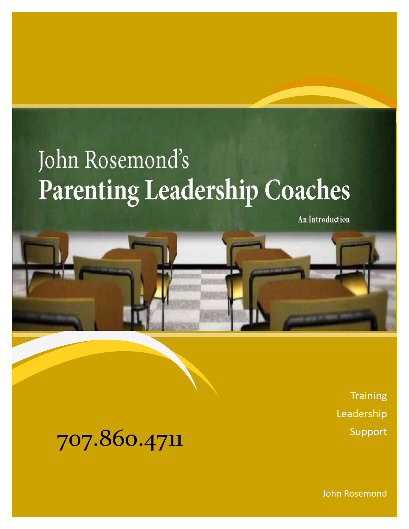# John Rosemond's **Parenting Leadership Coaches**

An Introduction



**Training** Leadership

707.860.4711 Support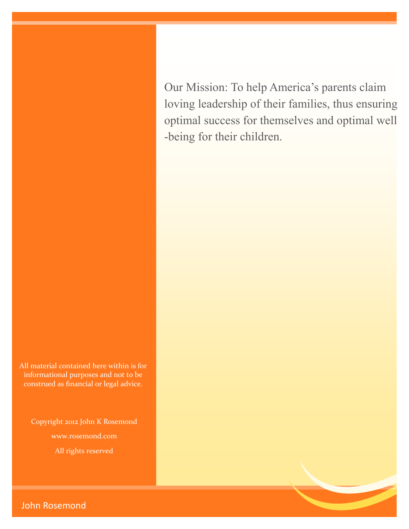Our Mission: To help America's parents claim loving leadership of their families, thus ensuring optimal success for themselves and optimal well -being for their children.

All material contained here within is for informational purposes and not to be construed as financial or legal advice.

Copyright 2012 John K Rosemond www.rosemond.com All rights reserved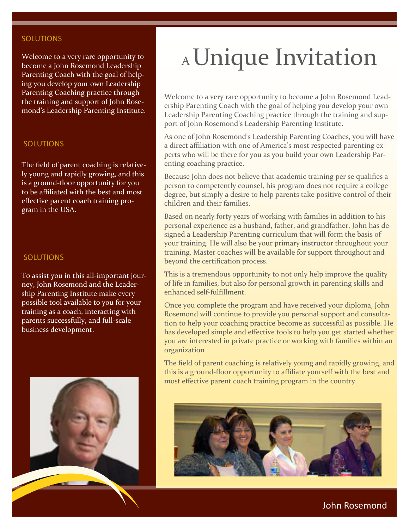#### **SOLUTIONS**

Welcome to a very rare opportunity to become a John Rosemond Leadership Parenting Coach with the goal of helping you develop your own Leadership Parenting Coaching practice through the training and support of John Rosemond's Leadership Parenting Institute.

#### SOLUTIONS

The field of parent coaching is relatively young and rapidly growing, and this is a ground-floor opportunity for you to be affiliated with the best and most effective parent coach training program in the USA.

#### SOLUTIONS

To assist you in this all-important journey, John Rosemond and the Leadership Parenting Institute make every possible tool available to you for your training as a coach, interacting with parents successfully, and full-scale business development.



# A Unique Invitation

Welcome to a very rare opportunity to become a John Rosemond Leadership Parenting Coach with the goal of helping you develop your own Leadership Parenting Coaching practice through the training and support of John Rosemond's Leadership Parenting Institute.

As one of John Rosemond's Leadership Parenting Coaches, you will have a direct affiliation with one of America's most respected parenting experts who will be there for you as you build your own Leadership Parenting coaching practice.

Because John does not believe that academic training per se qualifies a person to competently counsel, his program does not require a college degree, but simply a desire to help parents take positive control of their children and their families.

Based on nearly forty years of working with families in addition to his personal experience as a husband, father, and grandfather, John has designed a Leadership Parenting curriculum that will form the basis of your training. He will also be your primary instructor throughout your training. Master coaches will be available for support throughout and beyond the certification process.

This is a tremendous opportunity to not only help improve the quality of life in families, but also for personal growth in parenting skills and enhanced self-fulfillment.

Once you complete the program and have received your diploma, John Rosemond will continue to provide you personal support and consultation to help your coaching practice become as successful as possible. He has developed simple and effective tools to help you get started whether you are interested in private practice or working with families within an organization

The field of parent coaching is relatively young and rapidly growing, and this is a ground-floor opportunity to affiliate yourself with the best and most effective parent coach training program in the country.

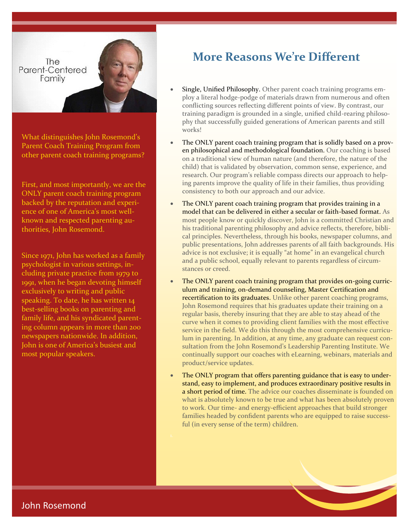The Parent-Centered Family

What distinguishes John Rosemond's Parent Coach Training Program from other parent coach training programs?

First, and most importantly, we are the ONLY parent coach training program backed by the reputation and experience of one of America's most wellknown and respected parenting authorities, John Rosemond.

Since 1971, John has worked as a family psychologist in various settings, including private practice from 1979 to 1991, when he began devoting himself exclusively to writing and public speaking. To date, he has written 14 best-selling books on parenting and family life, and his syndicated parenting column appears in more than 200 newspapers nationwide. In addition, John is one of America's busiest and most popular speakers.

## **More Reasons We're Different**

- Single, Unified Philosophy. Other parent coach training programs employ a literal hodge-podge of materials drawn from numerous and often conflicting sources reflecting different points of view. By contrast, our training paradigm is grounded in a single, unified child-rearing philosophy that successfully guided generations of American parents and still works!
- The ONLY parent coach training program that is solidly based on a proven philosophical and methodological foundation. Our coaching is based on a traditional view of human nature (and therefore, the nature of the child) that is validated by observation, common sense, experience, and research. Our program's reliable compass directs our approach to helping parents improve the quality of life in their families, thus providing consistency to both our approach and our advice.
- The ONLY parent coach training program that provides training in a model that can be delivered in either a secular or faith-based format. As most people know or quickly discover, John is a committed Christian and his traditional parenting philosophy and advice reflects, therefore, biblical principles. Nevertheless, through his books, newspaper columns, and public presentations, John addresses parents of all faith backgrounds. His advice is not exclusive; it is equally "at home" in an evangelical church and a public school, equally relevant to parents regardless of circumstances or creed.
- The ONLY parent coach training program that provides on-going curriculum and training, on-demand counseling, Master Certification and recertification to its graduates. Unlike other parent coaching programs, John Rosemond requires that his graduates update their training on a regular basis, thereby insuring that they are able to stay ahead of the curve when it comes to providing client families with the most effective service in the field. We do this through the most comprehensive curriculum in parenting. In addition, at any time, any graduate can request consultation from the John Rosemond's Leadership Parenting Institute. We continually support our coaches with eLearning, webinars, materials and product/service updates.
- The ONLY program that offers parenting guidance that is easy to understand, easy to implement, and produces extraordinary positive results in a short period of time. The advice our coaches disseminate is founded on what is absolutely known to be true and what has been absolutely proven to work. Our time- and energy-efficient approaches that build stronger families headed by confident parents who are equipped to raise successful (in every sense of the term) children.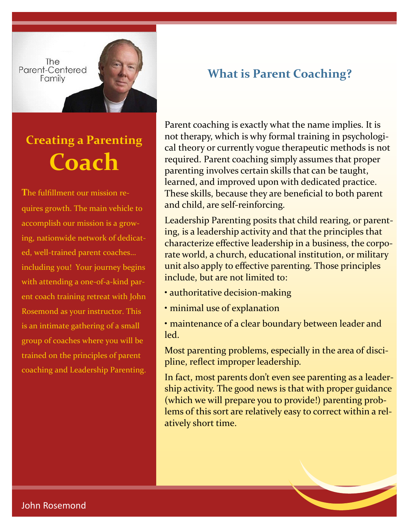**The** Parent-Centered Family

# **Creating a Parenting Coach**

**T**he fulfillment our mission requires growth. The main vehicle to accomplish our mission is a growing, nationwide network of dedicated, well-trained parent coaches… including you! Your journey begins with attending a one-of-a-kind parent coach training retreat with John Rosemond as your instructor. This is an intimate gathering of a small group of coaches where you will be trained on the principles of parent coaching and Leadership Parenting.

# **What is Parent Coaching?**

Parent coaching is exactly what the name implies. It is not therapy, which is why formal training in psychological theory or currently vogue therapeutic methods is not required. Parent coaching simply assumes that proper parenting involves certain skills that can be taught, learned, and improved upon with dedicated practice. These skills, because they are beneficial to both parent and child, are self-reinforcing.

Leadership Parenting posits that child rearing, or parenting, is a leadership activity and that the principles that characterize effective leadership in a business, the corporate world, a church, educational institution, or military unit also apply to effective parenting. Those principles include, but are not limited to:

- authoritative decision-making
- minimal use of explanation
- maintenance of a clear boundary between leader and led.

Most parenting problems, especially in the area of discipline, reflect improper leadership.

In fact, most parents don't even see parenting as a leadership activity. The good news is that with proper guidance (which we will prepare you to provide!) parenting problems of this sort are relatively easy to correct within a relatively short time.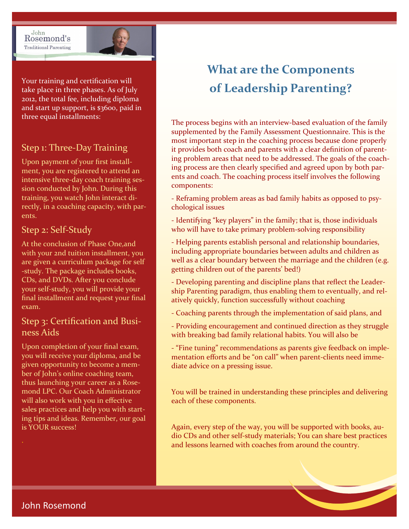John Rosemond's **Traditional Parenting** 



Your training and certification will take place in three phases. As of July 2012, the total fee, including diploma and start up support, is \$3600, paid in three equal installments:

## Step 1: Three-Day Training

Upon payment of your first installment, you are registered to attend an intensive three-day coach training session conducted by John. During this training, you watch John interact directly, in a coaching capacity, with parents.

#### Step 2: Self-Study

At the conclusion of Phase One,and with your 2nd tuition installment, you are given a curriculum package for self -study. The package includes books, CDs, and DVDs. After you conclude your self-study, you will provide your final installment and request your final exam.

### Step 3: Certification and Business Aids

Upon completion of your final exam, you will receive your diploma, and be given opportunity to become a member of John's online coaching team, thus launching your career as a Rosemond LPC. Our Coach Administrator will also work with you in effective sales practices and help you with starting tips and ideas. Remember, our goal is YOUR success!

# **What are the Components of Leadership Parenting?**

The process begins with an interview-based evaluation of the family supplemented by the Family Assessment Questionnaire. This is the most important step in the coaching process because done properly it provides both coach and parents with a clear definition of parenting problem areas that need to be addressed. The goals of the coaching process are then clearly specified and agreed upon by both parents and coach. The coaching process itself involves the following components:

- Reframing problem areas as bad family habits as opposed to psychological issues
- Identifying "key players" in the family; that is, those individuals who will have to take primary problem-solving responsibility

- Helping parents establish personal and relationship boundaries, including appropriate boundaries between adults and children as well as a clear boundary between the marriage and the children (e.g. getting children out of the parents' bed!)

- Developing parenting and discipline plans that reflect the Leadership Parenting paradigm, thus enabling them to eventually, and relatively quickly, function successfully without coaching
- Coaching parents through the implementation of said plans, and
- Providing encouragement and continued direction as they struggle with breaking bad family relational habits. You will also be
- "Fine tuning" recommendations as parents give feedback on implementation efforts and be "on call" when parent-clients need immediate advice on a pressing issue.

You will be trained in understanding these principles and delivering each of these components.

Again, every step of the way, you will be supported with books, audio CDs and other self-study materials; You can share best practices and lessons learned with coaches from around the country.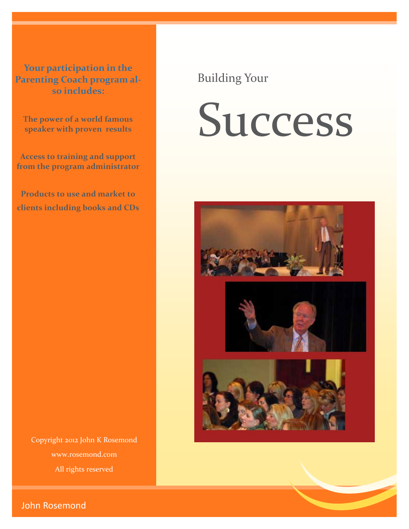**Your participation in the Parenting Coach program also includes:**

**The power of a world famous speaker with proven results**

**Access to training and support from the program administrator**

**Products to use and market to clients including books and CDs** Building Your

# Success



Copyright 2012 John K Rosemond www.rosemond.com All rights reserved